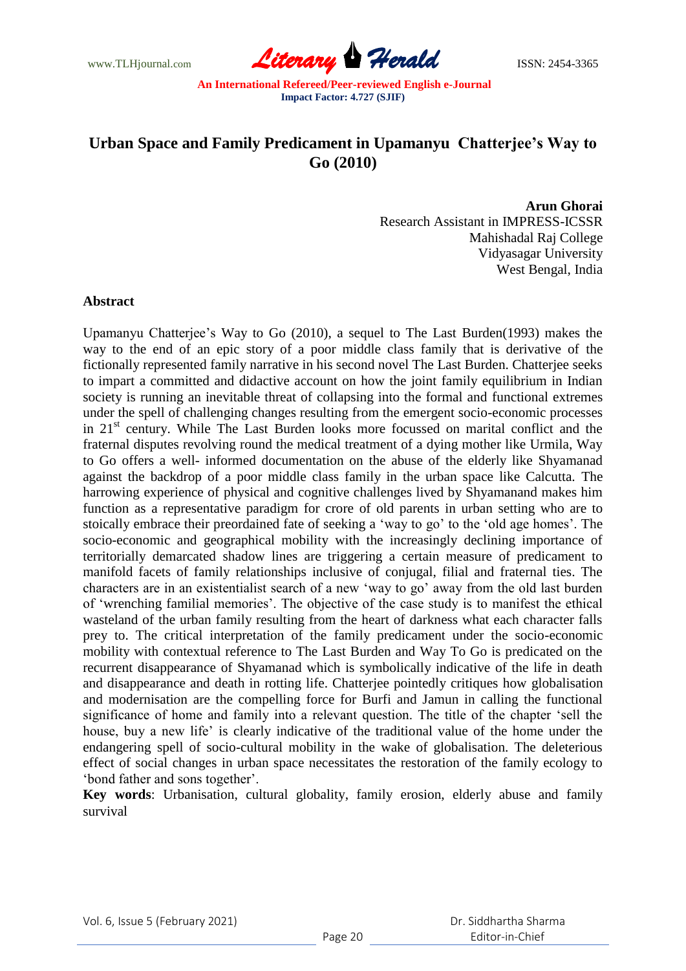www.TLHjournal.com **Literary Herald Herald ISSN: 2454-3365** 

## **Urban Space and Family Predicament in Upamanyu Chatterjee's Way to Go (2010)**

**Arun Ghorai** 

Research Assistant in IMPRESS-ICSSR Mahishadal Raj College Vidyasagar University West Bengal, India

## **Abstract**

Upamanyu Chatterjee"s Way to Go (2010), a sequel to The Last Burden(1993) makes the way to the end of an epic story of a poor middle class family that is derivative of the fictionally represented family narrative in his second novel The Last Burden. Chatterjee seeks to impart a committed and didactive account on how the joint family equilibrium in Indian society is running an inevitable threat of collapsing into the formal and functional extremes under the spell of challenging changes resulting from the emergent socio-economic processes in 21<sup>st</sup> century. While The Last Burden looks more focussed on marital conflict and the fraternal disputes revolving round the medical treatment of a dying mother like Urmila, Way to Go offers a well- informed documentation on the abuse of the elderly like Shyamanad against the backdrop of a poor middle class family in the urban space like Calcutta. The harrowing experience of physical and cognitive challenges lived by Shyamanand makes him function as a representative paradigm for crore of old parents in urban setting who are to stoically embrace their preordained fate of seeking a "way to go" to the "old age homes". The socio-economic and geographical mobility with the increasingly declining importance of territorially demarcated shadow lines are triggering a certain measure of predicament to manifold facets of family relationships inclusive of conjugal, filial and fraternal ties. The characters are in an existentialist search of a new "way to go" away from the old last burden of "wrenching familial memories". The objective of the case study is to manifest the ethical wasteland of the urban family resulting from the heart of darkness what each character falls prey to. The critical interpretation of the family predicament under the socio-economic mobility with contextual reference to The Last Burden and Way To Go is predicated on the recurrent disappearance of Shyamanad which is symbolically indicative of the life in death and disappearance and death in rotting life. Chatterjee pointedly critiques how globalisation and modernisation are the compelling force for Burfi and Jamun in calling the functional significance of home and family into a relevant question. The title of the chapter "sell the house, buy a new life' is clearly indicative of the traditional value of the home under the endangering spell of socio-cultural mobility in the wake of globalisation. The deleterious effect of social changes in urban space necessitates the restoration of the family ecology to "bond father and sons together".

**Key words**: Urbanisation, cultural globality, family erosion, elderly abuse and family survival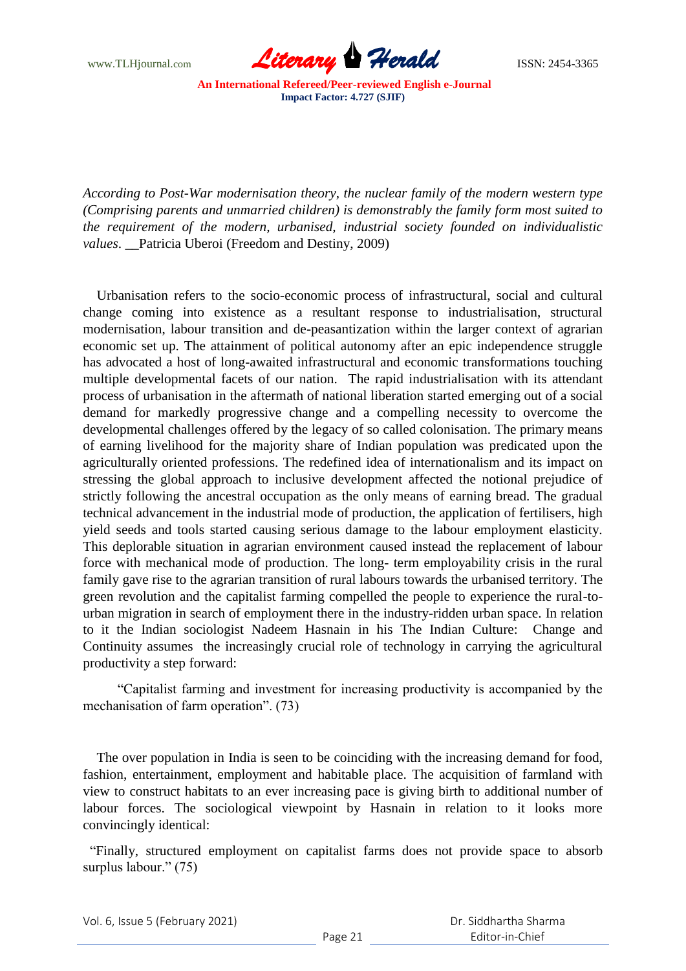www.TLHjournal.com **Literary Herald Herald ISSN: 2454-3365** 

*According to Post-War modernisation theory, the nuclear family of the modern western type (Comprising parents and unmarried children) is demonstrably the family form most suited to the requirement of the modern, urbanised, industrial society founded on individualistic values*. \_\_Patricia Uberoi (Freedom and Destiny, 2009)

 Urbanisation refers to the socio-economic process of infrastructural, social and cultural change coming into existence as a resultant response to industrialisation, structural modernisation, labour transition and de-peasantization within the larger context of agrarian economic set up. The attainment of political autonomy after an epic independence struggle has advocated a host of long-awaited infrastructural and economic transformations touching multiple developmental facets of our nation. The rapid industrialisation with its attendant process of urbanisation in the aftermath of national liberation started emerging out of a social demand for markedly progressive change and a compelling necessity to overcome the developmental challenges offered by the legacy of so called colonisation. The primary means of earning livelihood for the majority share of Indian population was predicated upon the agriculturally oriented professions. The redefined idea of internationalism and its impact on stressing the global approach to inclusive development affected the notional prejudice of strictly following the ancestral occupation as the only means of earning bread. The gradual technical advancement in the industrial mode of production, the application of fertilisers, high yield seeds and tools started causing serious damage to the labour employment elasticity. This deplorable situation in agrarian environment caused instead the replacement of labour force with mechanical mode of production. The long- term employability crisis in the rural family gave rise to the agrarian transition of rural labours towards the urbanised territory. The green revolution and the capitalist farming compelled the people to experience the rural-tourban migration in search of employment there in the industry-ridden urban space. In relation to it the Indian sociologist Nadeem Hasnain in his The Indian Culture: Change and Continuity assumes the increasingly crucial role of technology in carrying the agricultural productivity a step forward:

 "Capitalist farming and investment for increasing productivity is accompanied by the mechanisation of farm operation". (73)

 The over population in India is seen to be coinciding with the increasing demand for food, fashion, entertainment, employment and habitable place. The acquisition of farmland with view to construct habitats to an ever increasing pace is giving birth to additional number of labour forces. The sociological viewpoint by Hasnain in relation to it looks more convincingly identical:

 "Finally, structured employment on capitalist farms does not provide space to absorb surplus labour." (75)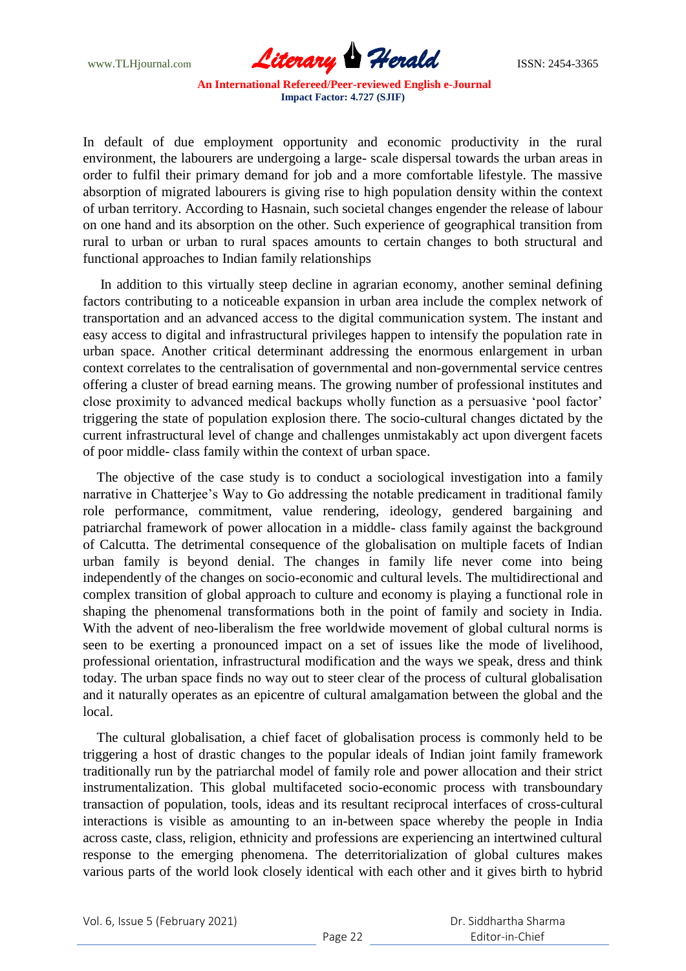

In default of due employment opportunity and economic productivity in the rural environment, the labourers are undergoing a large- scale dispersal towards the urban areas in order to fulfil their primary demand for job and a more comfortable lifestyle. The massive absorption of migrated labourers is giving rise to high population density within the context of urban territory. According to Hasnain, such societal changes engender the release of labour on one hand and its absorption on the other. Such experience of geographical transition from rural to urban or urban to rural spaces amounts to certain changes to both structural and functional approaches to Indian family relationships

 In addition to this virtually steep decline in agrarian economy, another seminal defining factors contributing to a noticeable expansion in urban area include the complex network of transportation and an advanced access to the digital communication system. The instant and easy access to digital and infrastructural privileges happen to intensify the population rate in urban space. Another critical determinant addressing the enormous enlargement in urban context correlates to the centralisation of governmental and non-governmental service centres offering a cluster of bread earning means. The growing number of professional institutes and close proximity to advanced medical backups wholly function as a persuasive "pool factor" triggering the state of population explosion there. The socio-cultural changes dictated by the current infrastructural level of change and challenges unmistakably act upon divergent facets of poor middle- class family within the context of urban space.

 The objective of the case study is to conduct a sociological investigation into a family narrative in Chatterjee's Way to Go addressing the notable predicament in traditional family role performance, commitment, value rendering, ideology, gendered bargaining and patriarchal framework of power allocation in a middle- class family against the background of Calcutta. The detrimental consequence of the globalisation on multiple facets of Indian urban family is beyond denial. The changes in family life never come into being independently of the changes on socio-economic and cultural levels. The multidirectional and complex transition of global approach to culture and economy is playing a functional role in shaping the phenomenal transformations both in the point of family and society in India. With the advent of neo-liberalism the free worldwide movement of global cultural norms is seen to be exerting a pronounced impact on a set of issues like the mode of livelihood, professional orientation, infrastructural modification and the ways we speak, dress and think today. The urban space finds no way out to steer clear of the process of cultural globalisation and it naturally operates as an epicentre of cultural amalgamation between the global and the local.

 The cultural globalisation, a chief facet of globalisation process is commonly held to be triggering a host of drastic changes to the popular ideals of Indian joint family framework traditionally run by the patriarchal model of family role and power allocation and their strict instrumentalization. This global multifaceted socio-economic process with transboundary transaction of population, tools, ideas and its resultant reciprocal interfaces of cross-cultural interactions is visible as amounting to an in-between space whereby the people in India across caste, class, religion, ethnicity and professions are experiencing an intertwined cultural response to the emerging phenomena. The deterritorialization of global cultures makes various parts of the world look closely identical with each other and it gives birth to hybrid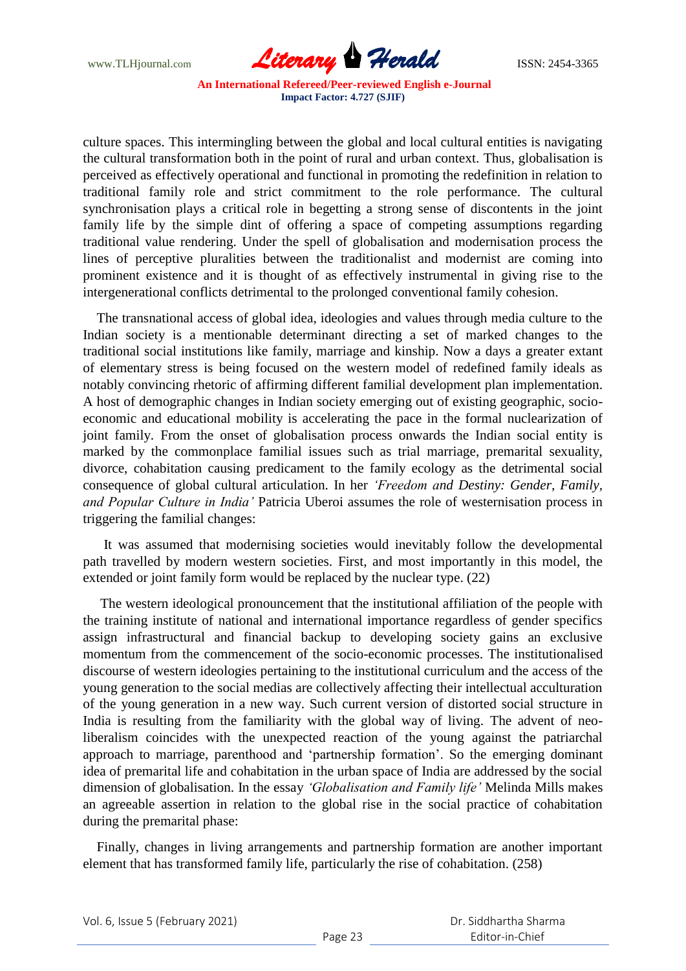www.TLHjournal.com **Literary Herald ISSN: 2454-3365** 

culture spaces. This intermingling between the global and local cultural entities is navigating the cultural transformation both in the point of rural and urban context. Thus, globalisation is perceived as effectively operational and functional in promoting the redefinition in relation to traditional family role and strict commitment to the role performance. The cultural synchronisation plays a critical role in begetting a strong sense of discontents in the joint family life by the simple dint of offering a space of competing assumptions regarding traditional value rendering. Under the spell of globalisation and modernisation process the lines of perceptive pluralities between the traditionalist and modernist are coming into prominent existence and it is thought of as effectively instrumental in giving rise to the intergenerational conflicts detrimental to the prolonged conventional family cohesion.

 The transnational access of global idea, ideologies and values through media culture to the Indian society is a mentionable determinant directing a set of marked changes to the traditional social institutions like family, marriage and kinship. Now a days a greater extant of elementary stress is being focused on the western model of redefined family ideals as notably convincing rhetoric of affirming different familial development plan implementation. A host of demographic changes in Indian society emerging out of existing geographic, socioeconomic and educational mobility is accelerating the pace in the formal nuclearization of joint family. From the onset of globalisation process onwards the Indian social entity is marked by the commonplace familial issues such as trial marriage, premarital sexuality, divorce, cohabitation causing predicament to the family ecology as the detrimental social consequence of global cultural articulation. In her *'Freedom and Destiny: Gender, Family, and Popular Culture in India'* Patricia Uberoi assumes the role of westernisation process in triggering the familial changes:

 It was assumed that modernising societies would inevitably follow the developmental path travelled by modern western societies. First, and most importantly in this model, the extended or joint family form would be replaced by the nuclear type. (22)

 The western ideological pronouncement that the institutional affiliation of the people with the training institute of national and international importance regardless of gender specifics assign infrastructural and financial backup to developing society gains an exclusive momentum from the commencement of the socio-economic processes. The institutionalised discourse of western ideologies pertaining to the institutional curriculum and the access of the young generation to the social medias are collectively affecting their intellectual acculturation of the young generation in a new way. Such current version of distorted social structure in India is resulting from the familiarity with the global way of living. The advent of neoliberalism coincides with the unexpected reaction of the young against the patriarchal approach to marriage, parenthood and "partnership formation". So the emerging dominant idea of premarital life and cohabitation in the urban space of India are addressed by the social dimension of globalisation. In the essay *'Globalisation and Family life'* Melinda Mills makes an agreeable assertion in relation to the global rise in the social practice of cohabitation during the premarital phase:

 Finally, changes in living arrangements and partnership formation are another important element that has transformed family life, particularly the rise of cohabitation. (258)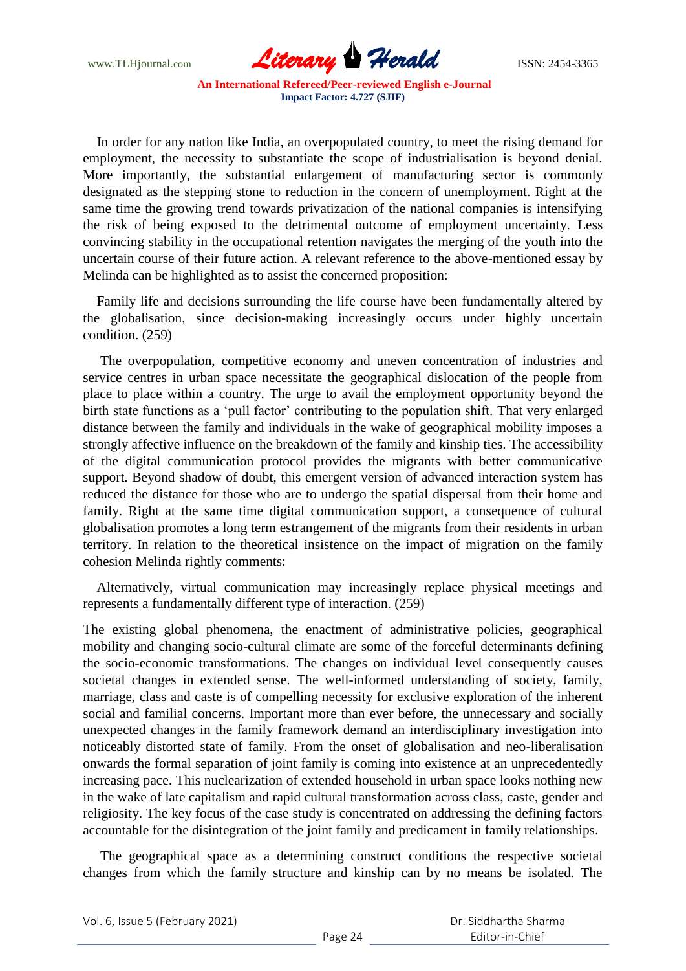www.TLHjournal.com **Literary Herald** ISSN: 2454-3365

 In order for any nation like India, an overpopulated country, to meet the rising demand for employment, the necessity to substantiate the scope of industrialisation is beyond denial. More importantly, the substantial enlargement of manufacturing sector is commonly designated as the stepping stone to reduction in the concern of unemployment. Right at the same time the growing trend towards privatization of the national companies is intensifying the risk of being exposed to the detrimental outcome of employment uncertainty. Less convincing stability in the occupational retention navigates the merging of the youth into the uncertain course of their future action. A relevant reference to the above-mentioned essay by Melinda can be highlighted as to assist the concerned proposition:

 Family life and decisions surrounding the life course have been fundamentally altered by the globalisation, since decision-making increasingly occurs under highly uncertain condition. (259)

 The overpopulation, competitive economy and uneven concentration of industries and service centres in urban space necessitate the geographical dislocation of the people from place to place within a country. The urge to avail the employment opportunity beyond the birth state functions as a 'pull factor' contributing to the population shift. That very enlarged distance between the family and individuals in the wake of geographical mobility imposes a strongly affective influence on the breakdown of the family and kinship ties. The accessibility of the digital communication protocol provides the migrants with better communicative support. Beyond shadow of doubt, this emergent version of advanced interaction system has reduced the distance for those who are to undergo the spatial dispersal from their home and family. Right at the same time digital communication support, a consequence of cultural globalisation promotes a long term estrangement of the migrants from their residents in urban territory. In relation to the theoretical insistence on the impact of migration on the family cohesion Melinda rightly comments:

 Alternatively, virtual communication may increasingly replace physical meetings and represents a fundamentally different type of interaction. (259)

The existing global phenomena, the enactment of administrative policies, geographical mobility and changing socio-cultural climate are some of the forceful determinants defining the socio-economic transformations. The changes on individual level consequently causes societal changes in extended sense. The well-informed understanding of society, family, marriage, class and caste is of compelling necessity for exclusive exploration of the inherent social and familial concerns. Important more than ever before, the unnecessary and socially unexpected changes in the family framework demand an interdisciplinary investigation into noticeably distorted state of family. From the onset of globalisation and neo-liberalisation onwards the formal separation of joint family is coming into existence at an unprecedentedly increasing pace. This nuclearization of extended household in urban space looks nothing new in the wake of late capitalism and rapid cultural transformation across class, caste, gender and religiosity. The key focus of the case study is concentrated on addressing the defining factors accountable for the disintegration of the joint family and predicament in family relationships.

 The geographical space as a determining construct conditions the respective societal changes from which the family structure and kinship can by no means be isolated. The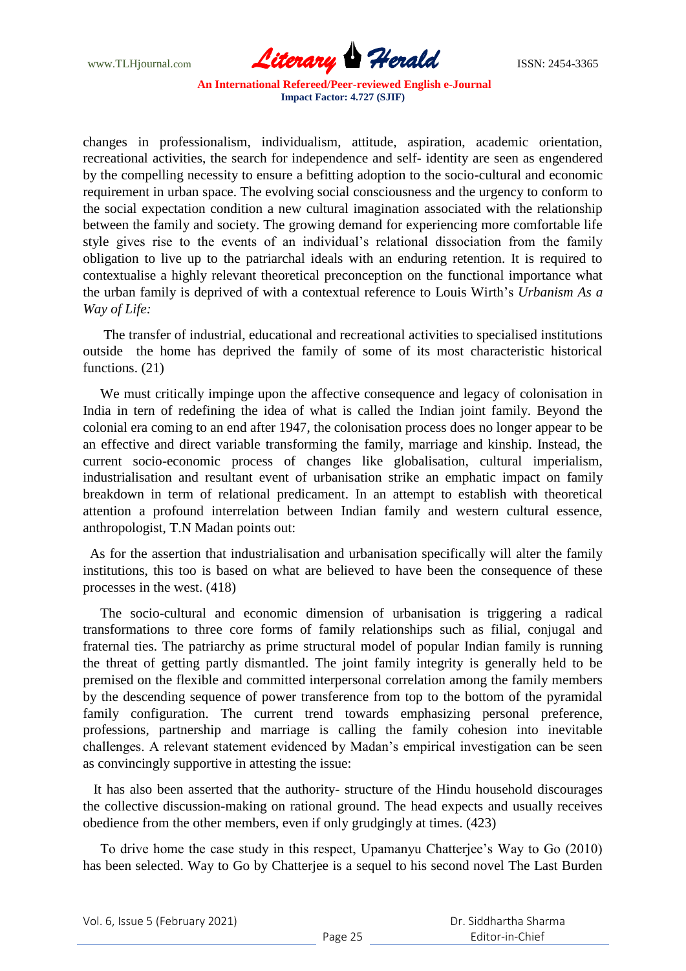

changes in professionalism, individualism, attitude, aspiration, academic orientation, recreational activities, the search for independence and self- identity are seen as engendered by the compelling necessity to ensure a befitting adoption to the socio-cultural and economic requirement in urban space. The evolving social consciousness and the urgency to conform to the social expectation condition a new cultural imagination associated with the relationship between the family and society. The growing demand for experiencing more comfortable life style gives rise to the events of an individual"s relational dissociation from the family obligation to live up to the patriarchal ideals with an enduring retention. It is required to contextualise a highly relevant theoretical preconception on the functional importance what the urban family is deprived of with a contextual reference to Louis Wirth"s *Urbanism As a Way of Life:*

 The transfer of industrial, educational and recreational activities to specialised institutions outside the home has deprived the family of some of its most characteristic historical functions. (21)

 We must critically impinge upon the affective consequence and legacy of colonisation in India in tern of redefining the idea of what is called the Indian joint family. Beyond the colonial era coming to an end after 1947, the colonisation process does no longer appear to be an effective and direct variable transforming the family, marriage and kinship. Instead, the current socio-economic process of changes like globalisation, cultural imperialism, industrialisation and resultant event of urbanisation strike an emphatic impact on family breakdown in term of relational predicament. In an attempt to establish with theoretical attention a profound interrelation between Indian family and western cultural essence, anthropologist, T.N Madan points out:

 As for the assertion that industrialisation and urbanisation specifically will alter the family institutions, this too is based on what are believed to have been the consequence of these processes in the west. (418)

 The socio-cultural and economic dimension of urbanisation is triggering a radical transformations to three core forms of family relationships such as filial, conjugal and fraternal ties. The patriarchy as prime structural model of popular Indian family is running the threat of getting partly dismantled. The joint family integrity is generally held to be premised on the flexible and committed interpersonal correlation among the family members by the descending sequence of power transference from top to the bottom of the pyramidal family configuration. The current trend towards emphasizing personal preference, professions, partnership and marriage is calling the family cohesion into inevitable challenges. A relevant statement evidenced by Madan"s empirical investigation can be seen as convincingly supportive in attesting the issue:

 It has also been asserted that the authority- structure of the Hindu household discourages the collective discussion-making on rational ground. The head expects and usually receives obedience from the other members, even if only grudgingly at times. (423)

 To drive home the case study in this respect, Upamanyu Chatterjee"s Way to Go (2010) has been selected. Way to Go by Chatterjee is a sequel to his second novel The Last Burden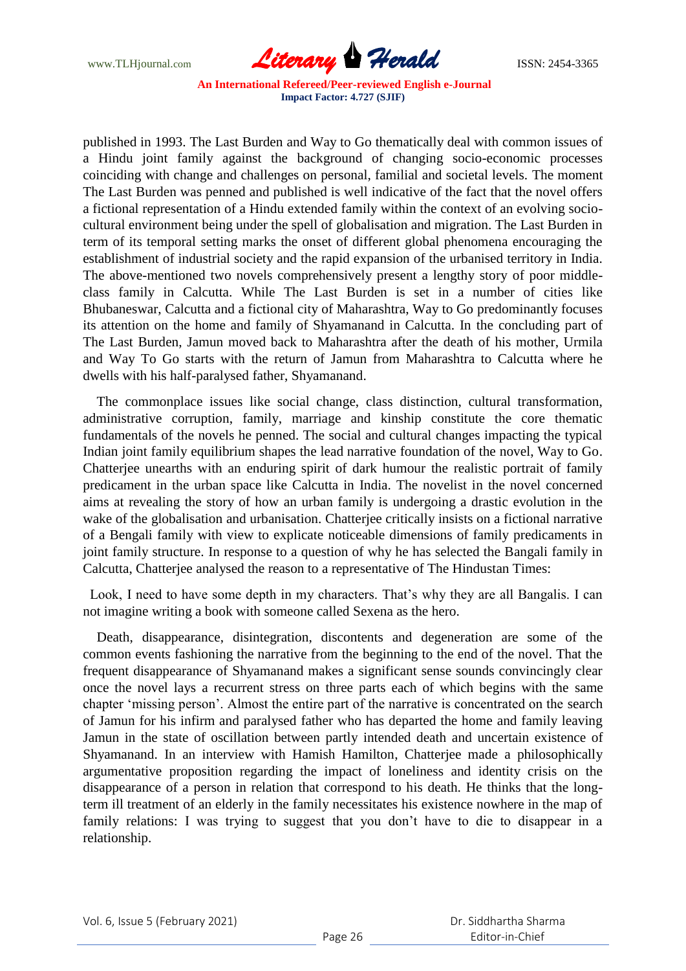

published in 1993. The Last Burden and Way to Go thematically deal with common issues of a Hindu joint family against the background of changing socio-economic processes coinciding with change and challenges on personal, familial and societal levels. The moment The Last Burden was penned and published is well indicative of the fact that the novel offers a fictional representation of a Hindu extended family within the context of an evolving sociocultural environment being under the spell of globalisation and migration. The Last Burden in term of its temporal setting marks the onset of different global phenomena encouraging the establishment of industrial society and the rapid expansion of the urbanised territory in India. The above-mentioned two novels comprehensively present a lengthy story of poor middleclass family in Calcutta. While The Last Burden is set in a number of cities like Bhubaneswar, Calcutta and a fictional city of Maharashtra, Way to Go predominantly focuses its attention on the home and family of Shyamanand in Calcutta. In the concluding part of The Last Burden, Jamun moved back to Maharashtra after the death of his mother, Urmila and Way To Go starts with the return of Jamun from Maharashtra to Calcutta where he dwells with his half-paralysed father, Shyamanand.

 The commonplace issues like social change, class distinction, cultural transformation, administrative corruption, family, marriage and kinship constitute the core thematic fundamentals of the novels he penned. The social and cultural changes impacting the typical Indian joint family equilibrium shapes the lead narrative foundation of the novel, Way to Go. Chatterjee unearths with an enduring spirit of dark humour the realistic portrait of family predicament in the urban space like Calcutta in India. The novelist in the novel concerned aims at revealing the story of how an urban family is undergoing a drastic evolution in the wake of the globalisation and urbanisation. Chatterjee critically insists on a fictional narrative of a Bengali family with view to explicate noticeable dimensions of family predicaments in joint family structure. In response to a question of why he has selected the Bangali family in Calcutta, Chatterjee analysed the reason to a representative of The Hindustan Times:

Look, I need to have some depth in my characters. That's why they are all Bangalis. I can not imagine writing a book with someone called Sexena as the hero.

 Death, disappearance, disintegration, discontents and degeneration are some of the common events fashioning the narrative from the beginning to the end of the novel. That the frequent disappearance of Shyamanand makes a significant sense sounds convincingly clear once the novel lays a recurrent stress on three parts each of which begins with the same chapter "missing person". Almost the entire part of the narrative is concentrated on the search of Jamun for his infirm and paralysed father who has departed the home and family leaving Jamun in the state of oscillation between partly intended death and uncertain existence of Shyamanand. In an interview with Hamish Hamilton, Chatterjee made a philosophically argumentative proposition regarding the impact of loneliness and identity crisis on the disappearance of a person in relation that correspond to his death. He thinks that the longterm ill treatment of an elderly in the family necessitates his existence nowhere in the map of family relations: I was trying to suggest that you don't have to die to disappear in a relationship.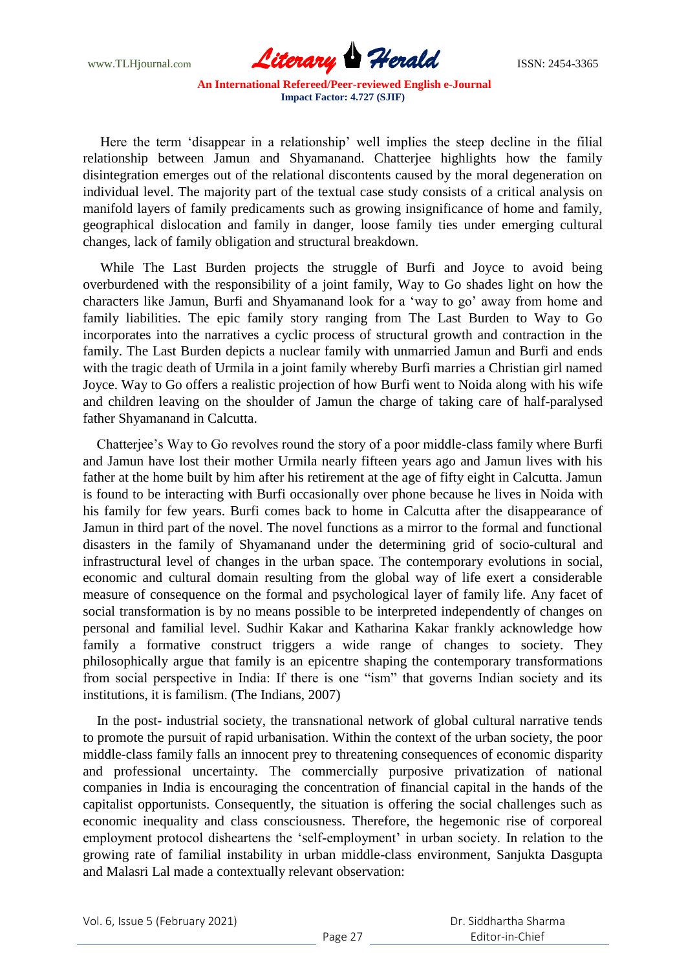www.TLHjournal.com **Literary Herald ISSN: 2454-3365** 

Here the term 'disappear in a relationship' well implies the steep decline in the filial relationship between Jamun and Shyamanand. Chatterjee highlights how the family disintegration emerges out of the relational discontents caused by the moral degeneration on individual level. The majority part of the textual case study consists of a critical analysis on manifold layers of family predicaments such as growing insignificance of home and family, geographical dislocation and family in danger, loose family ties under emerging cultural changes, lack of family obligation and structural breakdown.

 While The Last Burden projects the struggle of Burfi and Joyce to avoid being overburdened with the responsibility of a joint family, Way to Go shades light on how the characters like Jamun, Burfi and Shyamanand look for a "way to go" away from home and family liabilities. The epic family story ranging from The Last Burden to Way to Go incorporates into the narratives a cyclic process of structural growth and contraction in the family. The Last Burden depicts a nuclear family with unmarried Jamun and Burfi and ends with the tragic death of Urmila in a joint family whereby Burfi marries a Christian girl named Joyce. Way to Go offers a realistic projection of how Burfi went to Noida along with his wife and children leaving on the shoulder of Jamun the charge of taking care of half-paralysed father Shyamanand in Calcutta.

 Chatterjee"s Way to Go revolves round the story of a poor middle-class family where Burfi and Jamun have lost their mother Urmila nearly fifteen years ago and Jamun lives with his father at the home built by him after his retirement at the age of fifty eight in Calcutta. Jamun is found to be interacting with Burfi occasionally over phone because he lives in Noida with his family for few years. Burfi comes back to home in Calcutta after the disappearance of Jamun in third part of the novel. The novel functions as a mirror to the formal and functional disasters in the family of Shyamanand under the determining grid of socio-cultural and infrastructural level of changes in the urban space. The contemporary evolutions in social, economic and cultural domain resulting from the global way of life exert a considerable measure of consequence on the formal and psychological layer of family life. Any facet of social transformation is by no means possible to be interpreted independently of changes on personal and familial level. Sudhir Kakar and Katharina Kakar frankly acknowledge how family a formative construct triggers a wide range of changes to society. They philosophically argue that family is an epicentre shaping the contemporary transformations from social perspective in India: If there is one "ism" that governs Indian society and its institutions, it is familism. (The Indians, 2007)

 In the post- industrial society, the transnational network of global cultural narrative tends to promote the pursuit of rapid urbanisation. Within the context of the urban society, the poor middle-class family falls an innocent prey to threatening consequences of economic disparity and professional uncertainty. The commercially purposive privatization of national companies in India is encouraging the concentration of financial capital in the hands of the capitalist opportunists. Consequently, the situation is offering the social challenges such as economic inequality and class consciousness. Therefore, the hegemonic rise of corporeal employment protocol disheartens the 'self-employment' in urban society. In relation to the growing rate of familial instability in urban middle-class environment, Sanjukta Dasgupta and Malasri Lal made a contextually relevant observation: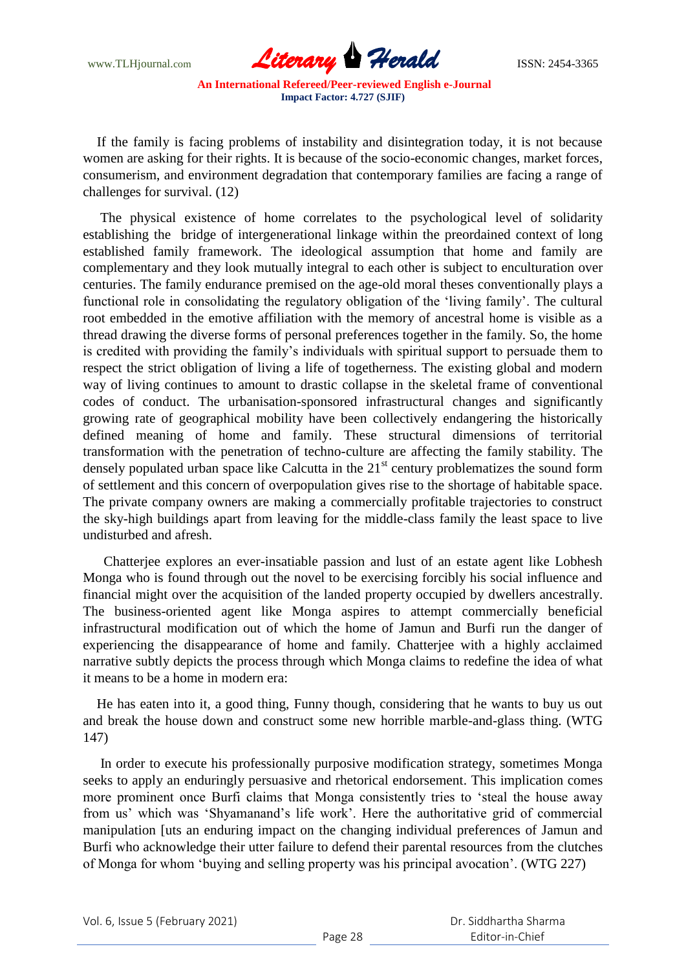

 If the family is facing problems of instability and disintegration today, it is not because women are asking for their rights. It is because of the socio-economic changes, market forces, consumerism, and environment degradation that contemporary families are facing a range of challenges for survival. (12)

 The physical existence of home correlates to the psychological level of solidarity establishing the bridge of intergenerational linkage within the preordained context of long established family framework. The ideological assumption that home and family are complementary and they look mutually integral to each other is subject to enculturation over centuries. The family endurance premised on the age-old moral theses conventionally plays a functional role in consolidating the regulatory obligation of the "living family". The cultural root embedded in the emotive affiliation with the memory of ancestral home is visible as a thread drawing the diverse forms of personal preferences together in the family. So, the home is credited with providing the family"s individuals with spiritual support to persuade them to respect the strict obligation of living a life of togetherness. The existing global and modern way of living continues to amount to drastic collapse in the skeletal frame of conventional codes of conduct. The urbanisation-sponsored infrastructural changes and significantly growing rate of geographical mobility have been collectively endangering the historically defined meaning of home and family. These structural dimensions of territorial transformation with the penetration of techno-culture are affecting the family stability. The densely populated urban space like Calcutta in the  $21<sup>st</sup>$  century problematizes the sound form of settlement and this concern of overpopulation gives rise to the shortage of habitable space. The private company owners are making a commercially profitable trajectories to construct the sky-high buildings apart from leaving for the middle-class family the least space to live undisturbed and afresh.

 Chatterjee explores an ever-insatiable passion and lust of an estate agent like Lobhesh Monga who is found through out the novel to be exercising forcibly his social influence and financial might over the acquisition of the landed property occupied by dwellers ancestrally. The business-oriented agent like Monga aspires to attempt commercially beneficial infrastructural modification out of which the home of Jamun and Burfi run the danger of experiencing the disappearance of home and family. Chatterjee with a highly acclaimed narrative subtly depicts the process through which Monga claims to redefine the idea of what it means to be a home in modern era:

 He has eaten into it, a good thing, Funny though, considering that he wants to buy us out and break the house down and construct some new horrible marble-and-glass thing. (WTG 147)

 In order to execute his professionally purposive modification strategy, sometimes Monga seeks to apply an enduringly persuasive and rhetorical endorsement. This implication comes more prominent once Burfi claims that Monga consistently tries to "steal the house away from us" which was "Shyamanand"s life work". Here the authoritative grid of commercial manipulation [uts an enduring impact on the changing individual preferences of Jamun and Burfi who acknowledge their utter failure to defend their parental resources from the clutches of Monga for whom "buying and selling property was his principal avocation". (WTG 227)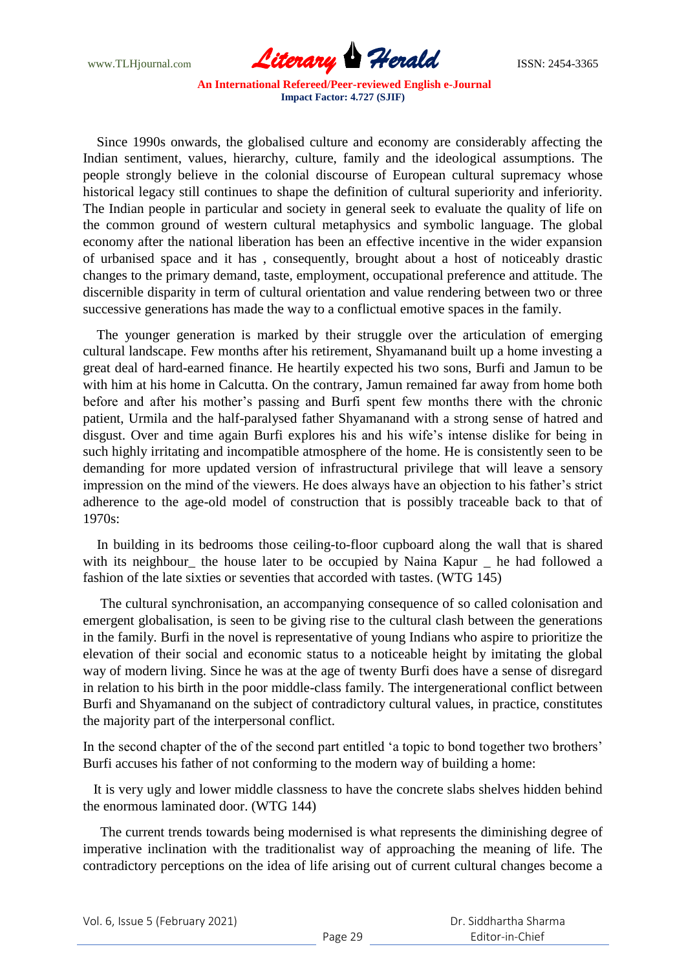

 Since 1990s onwards, the globalised culture and economy are considerably affecting the Indian sentiment, values, hierarchy, culture, family and the ideological assumptions. The people strongly believe in the colonial discourse of European cultural supremacy whose historical legacy still continues to shape the definition of cultural superiority and inferiority. The Indian people in particular and society in general seek to evaluate the quality of life on the common ground of western cultural metaphysics and symbolic language. The global economy after the national liberation has been an effective incentive in the wider expansion of urbanised space and it has , consequently, brought about a host of noticeably drastic changes to the primary demand, taste, employment, occupational preference and attitude. The discernible disparity in term of cultural orientation and value rendering between two or three successive generations has made the way to a conflictual emotive spaces in the family.

 The younger generation is marked by their struggle over the articulation of emerging cultural landscape. Few months after his retirement, Shyamanand built up a home investing a great deal of hard-earned finance. He heartily expected his two sons, Burfi and Jamun to be with him at his home in Calcutta. On the contrary, Jamun remained far away from home both before and after his mother"s passing and Burfi spent few months there with the chronic patient, Urmila and the half-paralysed father Shyamanand with a strong sense of hatred and disgust. Over and time again Burfi explores his and his wife"s intense dislike for being in such highly irritating and incompatible atmosphere of the home. He is consistently seen to be demanding for more updated version of infrastructural privilege that will leave a sensory impression on the mind of the viewers. He does always have an objection to his father's strict adherence to the age-old model of construction that is possibly traceable back to that of 1970s:

 In building in its bedrooms those ceiling-to-floor cupboard along the wall that is shared with its neighbour the house later to be occupied by Naina Kapur \_ he had followed a fashion of the late sixties or seventies that accorded with tastes. (WTG 145)

 The cultural synchronisation, an accompanying consequence of so called colonisation and emergent globalisation, is seen to be giving rise to the cultural clash between the generations in the family. Burfi in the novel is representative of young Indians who aspire to prioritize the elevation of their social and economic status to a noticeable height by imitating the global way of modern living. Since he was at the age of twenty Burfi does have a sense of disregard in relation to his birth in the poor middle-class family. The intergenerational conflict between Burfi and Shyamanand on the subject of contradictory cultural values, in practice, constitutes the majority part of the interpersonal conflict.

In the second chapter of the of the second part entitled "a topic to bond together two brothers" Burfi accuses his father of not conforming to the modern way of building a home:

 It is very ugly and lower middle classness to have the concrete slabs shelves hidden behind the enormous laminated door. (WTG 144)

 The current trends towards being modernised is what represents the diminishing degree of imperative inclination with the traditionalist way of approaching the meaning of life. The contradictory perceptions on the idea of life arising out of current cultural changes become a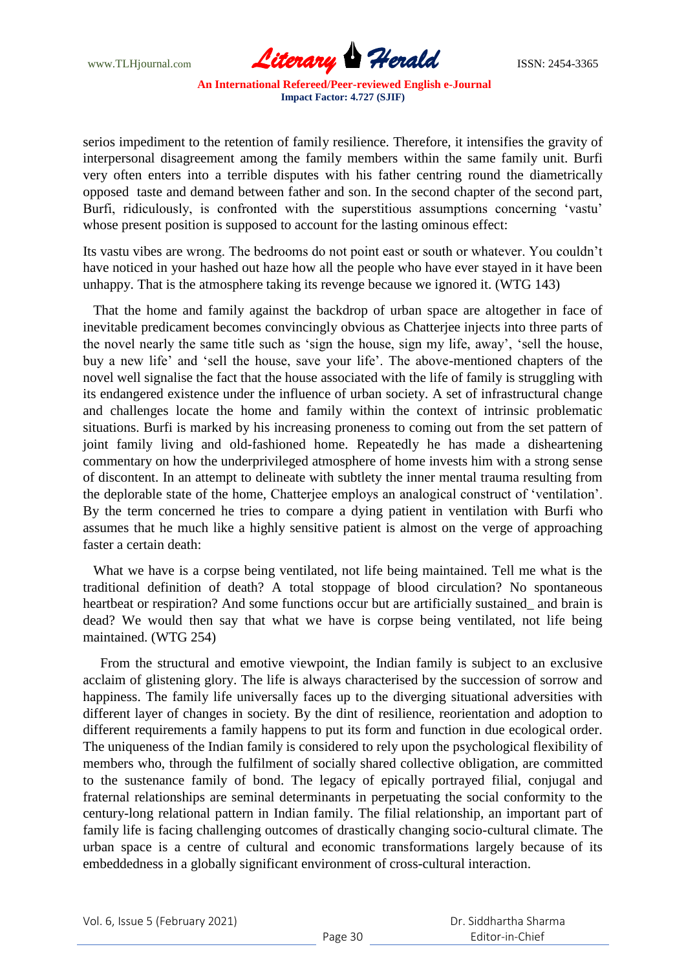www.TLHjournal.com *Literary Herald*ISSN: 2454-3365

serios impediment to the retention of family resilience. Therefore, it intensifies the gravity of interpersonal disagreement among the family members within the same family unit. Burfi very often enters into a terrible disputes with his father centring round the diametrically opposed taste and demand between father and son. In the second chapter of the second part, Burfi, ridiculously, is confronted with the superstitious assumptions concerning 'vastu' whose present position is supposed to account for the lasting ominous effect:

Its vastu vibes are wrong. The bedrooms do not point east or south or whatever. You couldn"t have noticed in your hashed out haze how all the people who have ever stayed in it have been unhappy. That is the atmosphere taking its revenge because we ignored it. (WTG 143)

 That the home and family against the backdrop of urban space are altogether in face of inevitable predicament becomes convincingly obvious as Chatterjee injects into three parts of the novel nearly the same title such as "sign the house, sign my life, away", "sell the house, buy a new life" and "sell the house, save your life". The above-mentioned chapters of the novel well signalise the fact that the house associated with the life of family is struggling with its endangered existence under the influence of urban society. A set of infrastructural change and challenges locate the home and family within the context of intrinsic problematic situations. Burfi is marked by his increasing proneness to coming out from the set pattern of joint family living and old-fashioned home. Repeatedly he has made a disheartening commentary on how the underprivileged atmosphere of home invests him with a strong sense of discontent. In an attempt to delineate with subtlety the inner mental trauma resulting from the deplorable state of the home, Chatterjee employs an analogical construct of "ventilation". By the term concerned he tries to compare a dying patient in ventilation with Burfi who assumes that he much like a highly sensitive patient is almost on the verge of approaching faster a certain death:

 What we have is a corpse being ventilated, not life being maintained. Tell me what is the traditional definition of death? A total stoppage of blood circulation? No spontaneous heartbeat or respiration? And some functions occur but are artificially sustained\_ and brain is dead? We would then say that what we have is corpse being ventilated, not life being maintained. (WTG 254)

 From the structural and emotive viewpoint, the Indian family is subject to an exclusive acclaim of glistening glory. The life is always characterised by the succession of sorrow and happiness. The family life universally faces up to the diverging situational adversities with different layer of changes in society. By the dint of resilience, reorientation and adoption to different requirements a family happens to put its form and function in due ecological order. The uniqueness of the Indian family is considered to rely upon the psychological flexibility of members who, through the fulfilment of socially shared collective obligation, are committed to the sustenance family of bond. The legacy of epically portrayed filial, conjugal and fraternal relationships are seminal determinants in perpetuating the social conformity to the century-long relational pattern in Indian family. The filial relationship, an important part of family life is facing challenging outcomes of drastically changing socio-cultural climate. The urban space is a centre of cultural and economic transformations largely because of its embeddedness in a globally significant environment of cross-cultural interaction.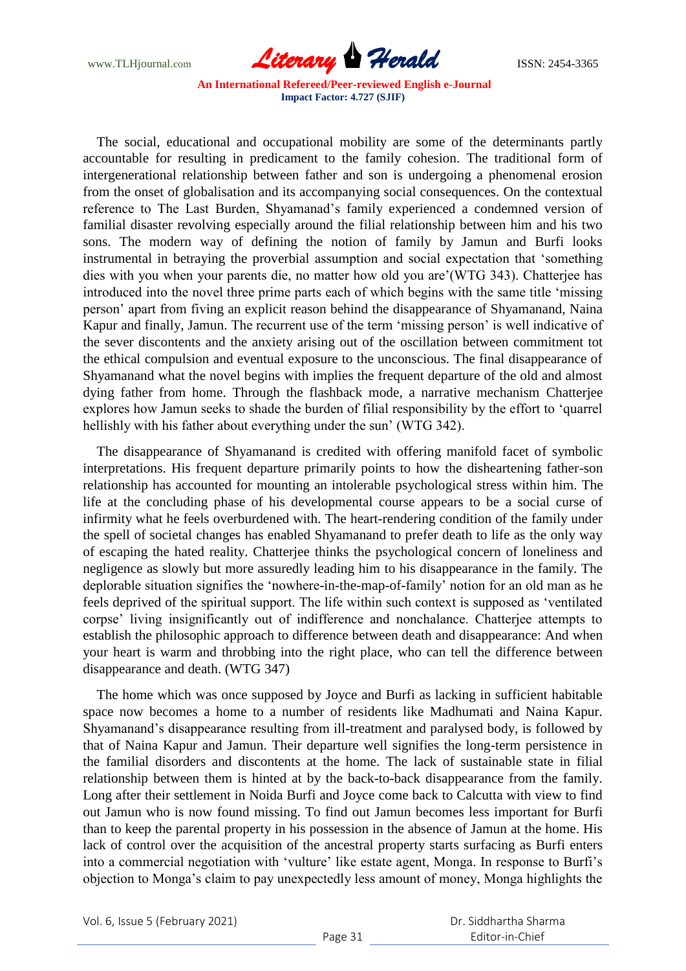

 The social, educational and occupational mobility are some of the determinants partly accountable for resulting in predicament to the family cohesion. The traditional form of intergenerational relationship between father and son is undergoing a phenomenal erosion from the onset of globalisation and its accompanying social consequences. On the contextual reference to The Last Burden, Shyamanad"s family experienced a condemned version of familial disaster revolving especially around the filial relationship between him and his two sons. The modern way of defining the notion of family by Jamun and Burfi looks instrumental in betraying the proverbial assumption and social expectation that "something dies with you when your parents die, no matter how old you are"(WTG 343). Chatterjee has introduced into the novel three prime parts each of which begins with the same title "missing person" apart from fiving an explicit reason behind the disappearance of Shyamanand, Naina Kapur and finally, Jamun. The recurrent use of the term "missing person" is well indicative of the sever discontents and the anxiety arising out of the oscillation between commitment tot the ethical compulsion and eventual exposure to the unconscious. The final disappearance of Shyamanand what the novel begins with implies the frequent departure of the old and almost dying father from home. Through the flashback mode, a narrative mechanism Chatterjee explores how Jamun seeks to shade the burden of filial responsibility by the effort to "quarrel hellishly with his father about everything under the sun' (WTG 342).

 The disappearance of Shyamanand is credited with offering manifold facet of symbolic interpretations. His frequent departure primarily points to how the disheartening father-son relationship has accounted for mounting an intolerable psychological stress within him. The life at the concluding phase of his developmental course appears to be a social curse of infirmity what he feels overburdened with. The heart-rendering condition of the family under the spell of societal changes has enabled Shyamanand to prefer death to life as the only way of escaping the hated reality. Chatterjee thinks the psychological concern of loneliness and negligence as slowly but more assuredly leading him to his disappearance in the family. The deplorable situation signifies the "nowhere-in-the-map-of-family" notion for an old man as he feels deprived of the spiritual support. The life within such context is supposed as "ventilated corpse" living insignificantly out of indifference and nonchalance. Chatterjee attempts to establish the philosophic approach to difference between death and disappearance: And when your heart is warm and throbbing into the right place, who can tell the difference between disappearance and death. (WTG 347)

 The home which was once supposed by Joyce and Burfi as lacking in sufficient habitable space now becomes a home to a number of residents like Madhumati and Naina Kapur. Shyamanand"s disappearance resulting from ill-treatment and paralysed body, is followed by that of Naina Kapur and Jamun. Their departure well signifies the long-term persistence in the familial disorders and discontents at the home. The lack of sustainable state in filial relationship between them is hinted at by the back-to-back disappearance from the family. Long after their settlement in Noida Burfi and Joyce come back to Calcutta with view to find out Jamun who is now found missing. To find out Jamun becomes less important for Burfi than to keep the parental property in his possession in the absence of Jamun at the home. His lack of control over the acquisition of the ancestral property starts surfacing as Burfi enters into a commercial negotiation with 'vulture' like estate agent, Monga. In response to Burfi's objection to Monga"s claim to pay unexpectedly less amount of money, Monga highlights the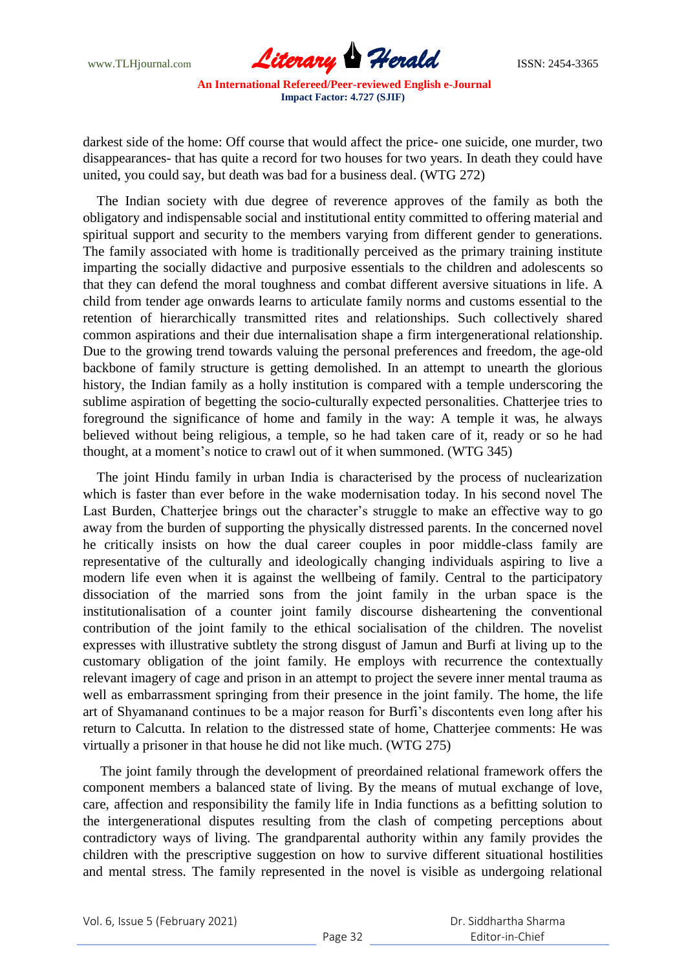

darkest side of the home: Off course that would affect the price- one suicide, one murder, two disappearances- that has quite a record for two houses for two years. In death they could have united, you could say, but death was bad for a business deal. (WTG 272)

 The Indian society with due degree of reverence approves of the family as both the obligatory and indispensable social and institutional entity committed to offering material and spiritual support and security to the members varying from different gender to generations. The family associated with home is traditionally perceived as the primary training institute imparting the socially didactive and purposive essentials to the children and adolescents so that they can defend the moral toughness and combat different aversive situations in life. A child from tender age onwards learns to articulate family norms and customs essential to the retention of hierarchically transmitted rites and relationships. Such collectively shared common aspirations and their due internalisation shape a firm intergenerational relationship. Due to the growing trend towards valuing the personal preferences and freedom, the age-old backbone of family structure is getting demolished. In an attempt to unearth the glorious history, the Indian family as a holly institution is compared with a temple underscoring the sublime aspiration of begetting the socio-culturally expected personalities. Chatterjee tries to foreground the significance of home and family in the way: A temple it was, he always believed without being religious, a temple, so he had taken care of it, ready or so he had thought, at a moment"s notice to crawl out of it when summoned. (WTG 345)

 The joint Hindu family in urban India is characterised by the process of nuclearization which is faster than ever before in the wake modernisation today. In his second novel The Last Burden, Chatterjee brings out the character's struggle to make an effective way to go away from the burden of supporting the physically distressed parents. In the concerned novel he critically insists on how the dual career couples in poor middle-class family are representative of the culturally and ideologically changing individuals aspiring to live a modern life even when it is against the wellbeing of family. Central to the participatory dissociation of the married sons from the joint family in the urban space is the institutionalisation of a counter joint family discourse disheartening the conventional contribution of the joint family to the ethical socialisation of the children. The novelist expresses with illustrative subtlety the strong disgust of Jamun and Burfi at living up to the customary obligation of the joint family. He employs with recurrence the contextually relevant imagery of cage and prison in an attempt to project the severe inner mental trauma as well as embarrassment springing from their presence in the joint family. The home, the life art of Shyamanand continues to be a major reason for Burfi"s discontents even long after his return to Calcutta. In relation to the distressed state of home, Chatterjee comments: He was virtually a prisoner in that house he did not like much. (WTG 275)

 The joint family through the development of preordained relational framework offers the component members a balanced state of living. By the means of mutual exchange of love, care, affection and responsibility the family life in India functions as a befitting solution to the intergenerational disputes resulting from the clash of competing perceptions about contradictory ways of living. The grandparental authority within any family provides the children with the prescriptive suggestion on how to survive different situational hostilities and mental stress. The family represented in the novel is visible as undergoing relational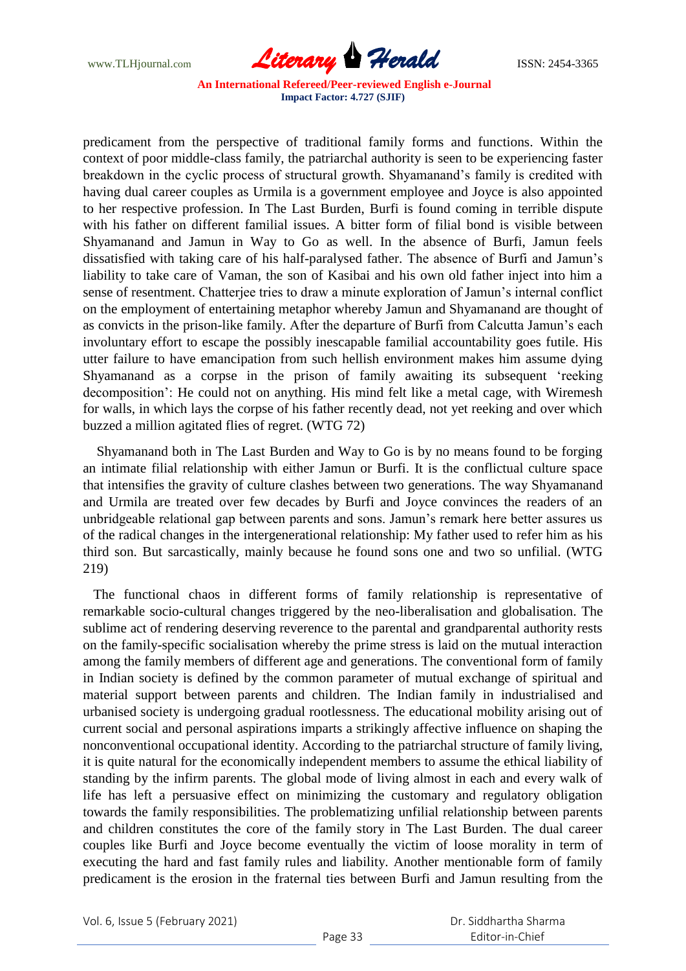

predicament from the perspective of traditional family forms and functions. Within the context of poor middle-class family, the patriarchal authority is seen to be experiencing faster breakdown in the cyclic process of structural growth. Shyamanand"s family is credited with having dual career couples as Urmila is a government employee and Joyce is also appointed to her respective profession. In The Last Burden, Burfi is found coming in terrible dispute with his father on different familial issues. A bitter form of filial bond is visible between Shyamanand and Jamun in Way to Go as well. In the absence of Burfi, Jamun feels dissatisfied with taking care of his half-paralysed father. The absence of Burfi and Jamun"s liability to take care of Vaman, the son of Kasibai and his own old father inject into him a sense of resentment. Chatterjee tries to draw a minute exploration of Jamun's internal conflict on the employment of entertaining metaphor whereby Jamun and Shyamanand are thought of as convicts in the prison-like family. After the departure of Burfi from Calcutta Jamun"s each involuntary effort to escape the possibly inescapable familial accountability goes futile. His utter failure to have emancipation from such hellish environment makes him assume dying Shyamanand as a corpse in the prison of family awaiting its subsequent "reeking decomposition": He could not on anything. His mind felt like a metal cage, with Wiremesh for walls, in which lays the corpse of his father recently dead, not yet reeking and over which buzzed a million agitated flies of regret. (WTG 72)

 Shyamanand both in The Last Burden and Way to Go is by no means found to be forging an intimate filial relationship with either Jamun or Burfi. It is the conflictual culture space that intensifies the gravity of culture clashes between two generations. The way Shyamanand and Urmila are treated over few decades by Burfi and Joyce convinces the readers of an unbridgeable relational gap between parents and sons. Jamun"s remark here better assures us of the radical changes in the intergenerational relationship: My father used to refer him as his third son. But sarcastically, mainly because he found sons one and two so unfilial. (WTG 219)

 The functional chaos in different forms of family relationship is representative of remarkable socio-cultural changes triggered by the neo-liberalisation and globalisation. The sublime act of rendering deserving reverence to the parental and grandparental authority rests on the family-specific socialisation whereby the prime stress is laid on the mutual interaction among the family members of different age and generations. The conventional form of family in Indian society is defined by the common parameter of mutual exchange of spiritual and material support between parents and children. The Indian family in industrialised and urbanised society is undergoing gradual rootlessness. The educational mobility arising out of current social and personal aspirations imparts a strikingly affective influence on shaping the nonconventional occupational identity. According to the patriarchal structure of family living, it is quite natural for the economically independent members to assume the ethical liability of standing by the infirm parents. The global mode of living almost in each and every walk of life has left a persuasive effect on minimizing the customary and regulatory obligation towards the family responsibilities. The problematizing unfilial relationship between parents and children constitutes the core of the family story in The Last Burden. The dual career couples like Burfi and Joyce become eventually the victim of loose morality in term of executing the hard and fast family rules and liability. Another mentionable form of family predicament is the erosion in the fraternal ties between Burfi and Jamun resulting from the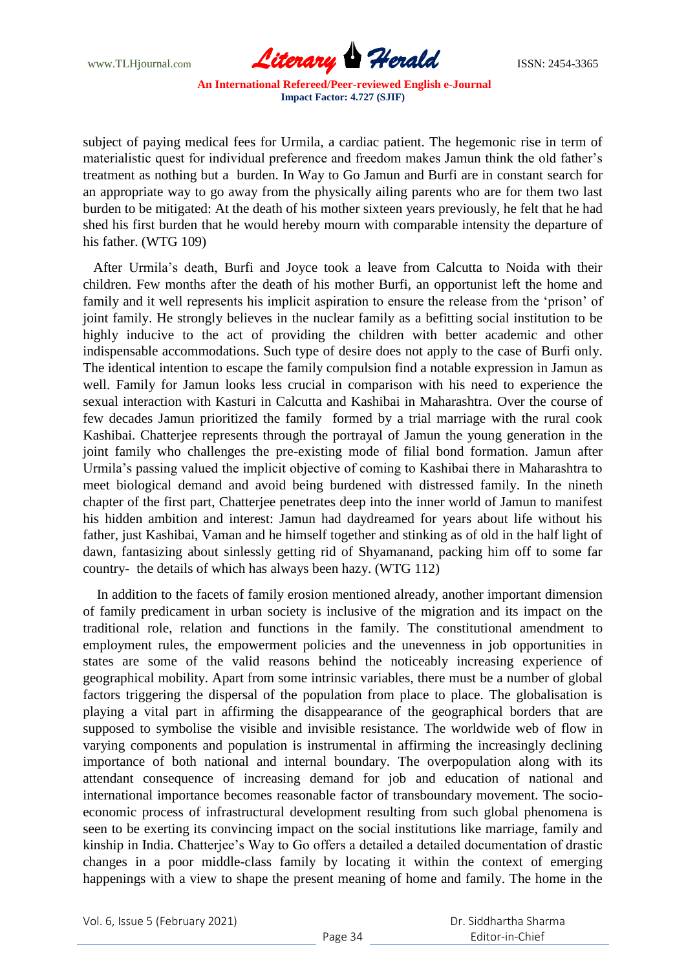

subject of paying medical fees for Urmila, a cardiac patient. The hegemonic rise in term of materialistic quest for individual preference and freedom makes Jamun think the old father"s treatment as nothing but a burden. In Way to Go Jamun and Burfi are in constant search for an appropriate way to go away from the physically ailing parents who are for them two last burden to be mitigated: At the death of his mother sixteen years previously, he felt that he had shed his first burden that he would hereby mourn with comparable intensity the departure of his father. (WTG 109)

 After Urmila"s death, Burfi and Joyce took a leave from Calcutta to Noida with their children. Few months after the death of his mother Burfi, an opportunist left the home and family and it well represents his implicit aspiration to ensure the release from the 'prison' of joint family. He strongly believes in the nuclear family as a befitting social institution to be highly inducive to the act of providing the children with better academic and other indispensable accommodations. Such type of desire does not apply to the case of Burfi only. The identical intention to escape the family compulsion find a notable expression in Jamun as well. Family for Jamun looks less crucial in comparison with his need to experience the sexual interaction with Kasturi in Calcutta and Kashibai in Maharashtra. Over the course of few decades Jamun prioritized the family formed by a trial marriage with the rural cook Kashibai. Chatterjee represents through the portrayal of Jamun the young generation in the joint family who challenges the pre-existing mode of filial bond formation. Jamun after Urmila"s passing valued the implicit objective of coming to Kashibai there in Maharashtra to meet biological demand and avoid being burdened with distressed family. In the nineth chapter of the first part, Chatterjee penetrates deep into the inner world of Jamun to manifest his hidden ambition and interest: Jamun had daydreamed for years about life without his father, just Kashibai, Vaman and he himself together and stinking as of old in the half light of dawn, fantasizing about sinlessly getting rid of Shyamanand, packing him off to some far country- the details of which has always been hazy. (WTG 112)

 In addition to the facets of family erosion mentioned already, another important dimension of family predicament in urban society is inclusive of the migration and its impact on the traditional role, relation and functions in the family. The constitutional amendment to employment rules, the empowerment policies and the unevenness in job opportunities in states are some of the valid reasons behind the noticeably increasing experience of geographical mobility. Apart from some intrinsic variables, there must be a number of global factors triggering the dispersal of the population from place to place. The globalisation is playing a vital part in affirming the disappearance of the geographical borders that are supposed to symbolise the visible and invisible resistance. The worldwide web of flow in varying components and population is instrumental in affirming the increasingly declining importance of both national and internal boundary. The overpopulation along with its attendant consequence of increasing demand for job and education of national and international importance becomes reasonable factor of transboundary movement. The socioeconomic process of infrastructural development resulting from such global phenomena is seen to be exerting its convincing impact on the social institutions like marriage, family and kinship in India. Chatterjee"s Way to Go offers a detailed a detailed documentation of drastic changes in a poor middle-class family by locating it within the context of emerging happenings with a view to shape the present meaning of home and family. The home in the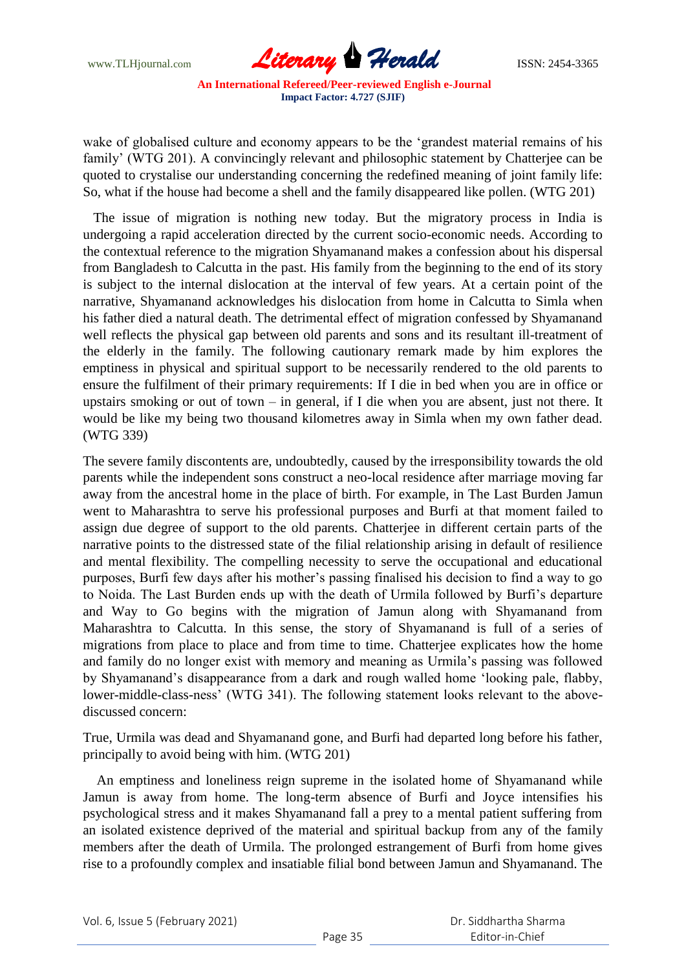www.TLHjournal.com *Literary Herald*ISSN: 2454-3365

wake of globalised culture and economy appears to be the "grandest material remains of his family' (WTG 201). A convincingly relevant and philosophic statement by Chatterjee can be quoted to crystalise our understanding concerning the redefined meaning of joint family life: So, what if the house had become a shell and the family disappeared like pollen. (WTG 201)

 The issue of migration is nothing new today. But the migratory process in India is undergoing a rapid acceleration directed by the current socio-economic needs. According to the contextual reference to the migration Shyamanand makes a confession about his dispersal from Bangladesh to Calcutta in the past. His family from the beginning to the end of its story is subject to the internal dislocation at the interval of few years. At a certain point of the narrative, Shyamanand acknowledges his dislocation from home in Calcutta to Simla when his father died a natural death. The detrimental effect of migration confessed by Shyamanand well reflects the physical gap between old parents and sons and its resultant ill-treatment of the elderly in the family. The following cautionary remark made by him explores the emptiness in physical and spiritual support to be necessarily rendered to the old parents to ensure the fulfilment of their primary requirements: If I die in bed when you are in office or upstairs smoking or out of town – in general, if I die when you are absent, just not there. It would be like my being two thousand kilometres away in Simla when my own father dead. (WTG 339)

The severe family discontents are, undoubtedly, caused by the irresponsibility towards the old parents while the independent sons construct a neo-local residence after marriage moving far away from the ancestral home in the place of birth. For example, in The Last Burden Jamun went to Maharashtra to serve his professional purposes and Burfi at that moment failed to assign due degree of support to the old parents. Chatterjee in different certain parts of the narrative points to the distressed state of the filial relationship arising in default of resilience and mental flexibility. The compelling necessity to serve the occupational and educational purposes, Burfi few days after his mother"s passing finalised his decision to find a way to go to Noida. The Last Burden ends up with the death of Urmila followed by Burfi"s departure and Way to Go begins with the migration of Jamun along with Shyamanand from Maharashtra to Calcutta. In this sense, the story of Shyamanand is full of a series of migrations from place to place and from time to time. Chatterjee explicates how the home and family do no longer exist with memory and meaning as Urmila"s passing was followed by Shyamanand"s disappearance from a dark and rough walled home "looking pale, flabby, lower-middle-class-ness' (WTG 341). The following statement looks relevant to the abovediscussed concern:

True, Urmila was dead and Shyamanand gone, and Burfi had departed long before his father, principally to avoid being with him. (WTG 201)

 An emptiness and loneliness reign supreme in the isolated home of Shyamanand while Jamun is away from home. The long-term absence of Burfi and Joyce intensifies his psychological stress and it makes Shyamanand fall a prey to a mental patient suffering from an isolated existence deprived of the material and spiritual backup from any of the family members after the death of Urmila. The prolonged estrangement of Burfi from home gives rise to a profoundly complex and insatiable filial bond between Jamun and Shyamanand. The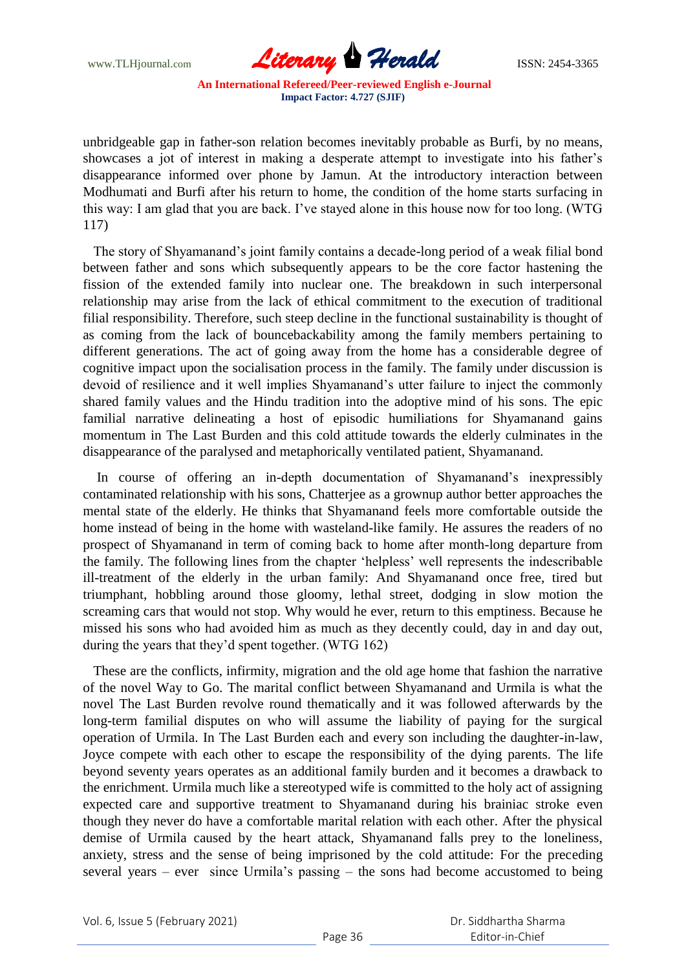

unbridgeable gap in father-son relation becomes inevitably probable as Burfi, by no means, showcases a jot of interest in making a desperate attempt to investigate into his father"s disappearance informed over phone by Jamun. At the introductory interaction between Modhumati and Burfi after his return to home, the condition of the home starts surfacing in this way: I am glad that you are back. I"ve stayed alone in this house now for too long. (WTG 117)

 The story of Shyamanand"s joint family contains a decade-long period of a weak filial bond between father and sons which subsequently appears to be the core factor hastening the fission of the extended family into nuclear one. The breakdown in such interpersonal relationship may arise from the lack of ethical commitment to the execution of traditional filial responsibility. Therefore, such steep decline in the functional sustainability is thought of as coming from the lack of bouncebackability among the family members pertaining to different generations. The act of going away from the home has a considerable degree of cognitive impact upon the socialisation process in the family. The family under discussion is devoid of resilience and it well implies Shyamanand"s utter failure to inject the commonly shared family values and the Hindu tradition into the adoptive mind of his sons. The epic familial narrative delineating a host of episodic humiliations for Shyamanand gains momentum in The Last Burden and this cold attitude towards the elderly culminates in the disappearance of the paralysed and metaphorically ventilated patient, Shyamanand.

In course of offering an in-depth documentation of Shyamanand's inexpressibly contaminated relationship with his sons, Chatterjee as a grownup author better approaches the mental state of the elderly. He thinks that Shyamanand feels more comfortable outside the home instead of being in the home with wasteland-like family. He assures the readers of no prospect of Shyamanand in term of coming back to home after month-long departure from the family. The following lines from the chapter "helpless" well represents the indescribable ill-treatment of the elderly in the urban family: And Shyamanand once free, tired but triumphant, hobbling around those gloomy, lethal street, dodging in slow motion the screaming cars that would not stop. Why would he ever, return to this emptiness. Because he missed his sons who had avoided him as much as they decently could, day in and day out, during the years that they"d spent together. (WTG 162)

 These are the conflicts, infirmity, migration and the old age home that fashion the narrative of the novel Way to Go. The marital conflict between Shyamanand and Urmila is what the novel The Last Burden revolve round thematically and it was followed afterwards by the long-term familial disputes on who will assume the liability of paying for the surgical operation of Urmila. In The Last Burden each and every son including the daughter-in-law, Joyce compete with each other to escape the responsibility of the dying parents. The life beyond seventy years operates as an additional family burden and it becomes a drawback to the enrichment. Urmila much like a stereotyped wife is committed to the holy act of assigning expected care and supportive treatment to Shyamanand during his brainiac stroke even though they never do have a comfortable marital relation with each other. After the physical demise of Urmila caused by the heart attack, Shyamanand falls prey to the loneliness, anxiety, stress and the sense of being imprisoned by the cold attitude: For the preceding several years – ever since Urmila"s passing – the sons had become accustomed to being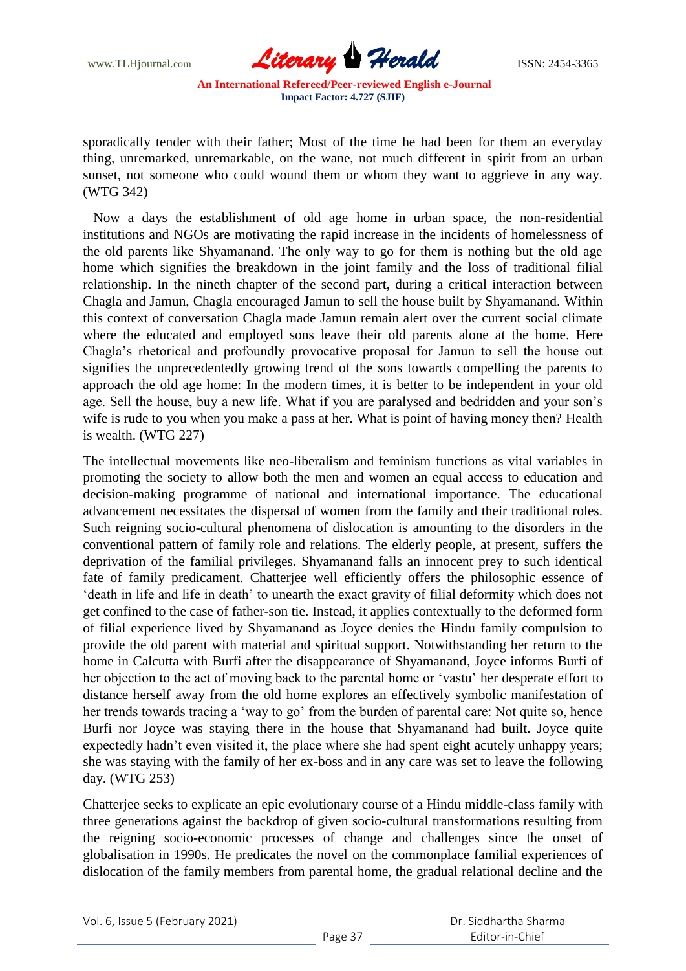

sporadically tender with their father; Most of the time he had been for them an everyday thing, unremarked, unremarkable, on the wane, not much different in spirit from an urban sunset, not someone who could wound them or whom they want to aggrieve in any way. (WTG 342)

 Now a days the establishment of old age home in urban space, the non-residential institutions and NGOs are motivating the rapid increase in the incidents of homelessness of the old parents like Shyamanand. The only way to go for them is nothing but the old age home which signifies the breakdown in the joint family and the loss of traditional filial relationship. In the nineth chapter of the second part, during a critical interaction between Chagla and Jamun, Chagla encouraged Jamun to sell the house built by Shyamanand. Within this context of conversation Chagla made Jamun remain alert over the current social climate where the educated and employed sons leave their old parents alone at the home. Here Chagla"s rhetorical and profoundly provocative proposal for Jamun to sell the house out signifies the unprecedentedly growing trend of the sons towards compelling the parents to approach the old age home: In the modern times, it is better to be independent in your old age. Sell the house, buy a new life. What if you are paralysed and bedridden and your son"s wife is rude to you when you make a pass at her. What is point of having money then? Health is wealth. (WTG 227)

The intellectual movements like neo-liberalism and feminism functions as vital variables in promoting the society to allow both the men and women an equal access to education and decision-making programme of national and international importance. The educational advancement necessitates the dispersal of women from the family and their traditional roles. Such reigning socio-cultural phenomena of dislocation is amounting to the disorders in the conventional pattern of family role and relations. The elderly people, at present, suffers the deprivation of the familial privileges. Shyamanand falls an innocent prey to such identical fate of family predicament. Chatterjee well efficiently offers the philosophic essence of "death in life and life in death" to unearth the exact gravity of filial deformity which does not get confined to the case of father-son tie. Instead, it applies contextually to the deformed form of filial experience lived by Shyamanand as Joyce denies the Hindu family compulsion to provide the old parent with material and spiritual support. Notwithstanding her return to the home in Calcutta with Burfi after the disappearance of Shyamanand, Joyce informs Burfi of her objection to the act of moving back to the parental home or "vastu" her desperate effort to distance herself away from the old home explores an effectively symbolic manifestation of her trends towards tracing a 'way to go' from the burden of parental care: Not quite so, hence Burfi nor Joyce was staying there in the house that Shyamanand had built. Joyce quite expectedly hadn"t even visited it, the place where she had spent eight acutely unhappy years; she was staying with the family of her ex-boss and in any care was set to leave the following day. (WTG 253)

Chatterjee seeks to explicate an epic evolutionary course of a Hindu middle-class family with three generations against the backdrop of given socio-cultural transformations resulting from the reigning socio-economic processes of change and challenges since the onset of globalisation in 1990s. He predicates the novel on the commonplace familial experiences of dislocation of the family members from parental home, the gradual relational decline and the